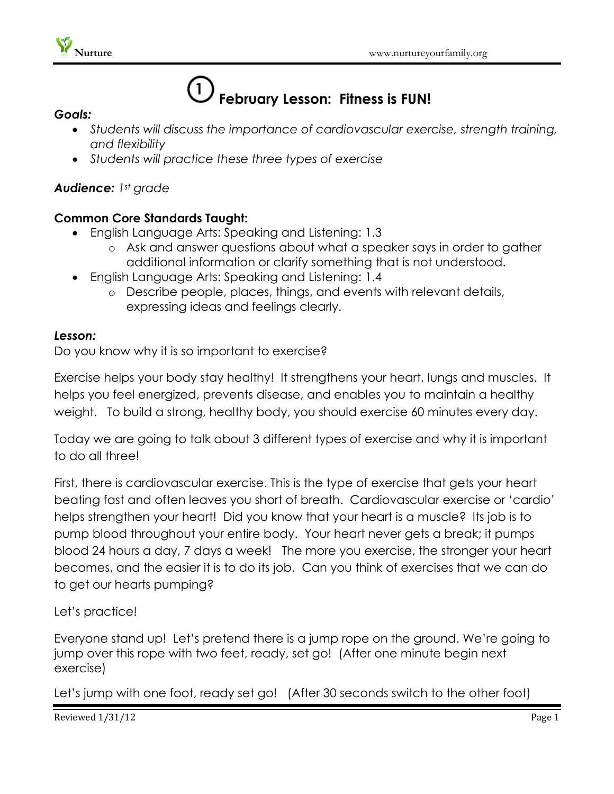

# **February Lesson: Fitness is FUN!**

#### *Goals:*

- *Students will discuss the importance of cardiovascular exercise, strength training, and flexibility*
- *Students will practice these three types of exercise*

# *Audience: 1st grade*

## **Common Core Standards Taught:**

- English Language Arts: Speaking and Listening: 1.3
	- o Ask and answer questions about what a speaker says in order to gather additional information or clarify something that is not understood.
- English Language Arts: Speaking and Listening: 1.4
	- o Describe people, places, things, and events with relevant details, expressing ideas and feelings clearly.

### *Lesson:*

Do you know why it is so important to exercise?

Exercise helps your body stay healthy! It strengthens your heart, lungs and muscles. It helps you feel energized, prevents disease, and enables you to maintain a healthy weight. To build a strong, healthy body, you should exercise 60 minutes every day.

Today we are going to talk about 3 different types of exercise and why it is important to do all three!

First, there is cardiovascular exercise. This is the type of exercise that gets your heart beating fast and often leaves you short of breath. Cardiovascular exercise or 'cardio' helps strengthen your heart! Did you know that your heart is a muscle? Its job is to pump blood throughout your entire body. Your heart never gets a break; it pumps blood 24 hours a day, 7 days a week! The more you exercise, the stronger your heart becomes, and the easier it is to do its job. Can you think of exercises that we can do to get our hearts pumping?

### Let's practice!

Everyone stand up! Let's pretend there is a jump rope on the ground. We're going to jump over this rope with two feet, ready, set go! (After one minute begin next exercise)

Let's jump with one foot, ready set go! (After 30 seconds switch to the other foot)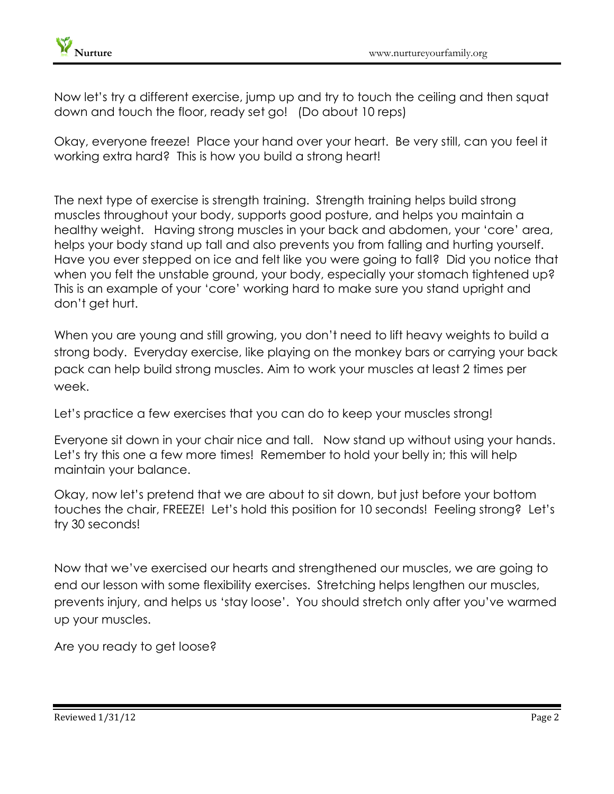Now let's try a different exercise, jump up and try to touch the ceiling and then squat down and touch the floor, ready set go! (Do about 10 reps)

Okay, everyone freeze! Place your hand over your heart. Be very still, can you feel it working extra hard? This is how you build a strong heart!

The next type of exercise is strength training. Strength training helps build strong muscles throughout your body, supports good posture, and helps you maintain a healthy weight. Having strong muscles in your back and abdomen, your 'core' area, helps your body stand up tall and also prevents you from falling and hurting yourself. Have you ever stepped on ice and felt like you were going to fall? Did you notice that when you felt the unstable ground, your body, especially your stomach tightened up? This is an example of your 'core' working hard to make sure you stand upright and don't get hurt.

When you are young and still growing, you don't need to lift heavy weights to build a strong body. Everyday exercise, like playing on the monkey bars or carrying your back pack can help build strong muscles. Aim to work your muscles at least 2 times per week.

Let's practice a few exercises that you can do to keep your muscles strong!

Everyone sit down in your chair nice and tall. Now stand up without using your hands. Let's try this one a few more times! Remember to hold your belly in; this will help maintain your balance.

Okay, now let's pretend that we are about to sit down, but just before your bottom touches the chair, FREEZE! Let's hold this position for 10 seconds! Feeling strong? Let's try 30 seconds!

Now that we've exercised our hearts and strengthened our muscles, we are going to end our lesson with some flexibility exercises. Stretching helps lengthen our muscles, prevents injury, and helps us 'stay loose'. You should stretch only after you've warmed up your muscles.

Are you ready to get loose?